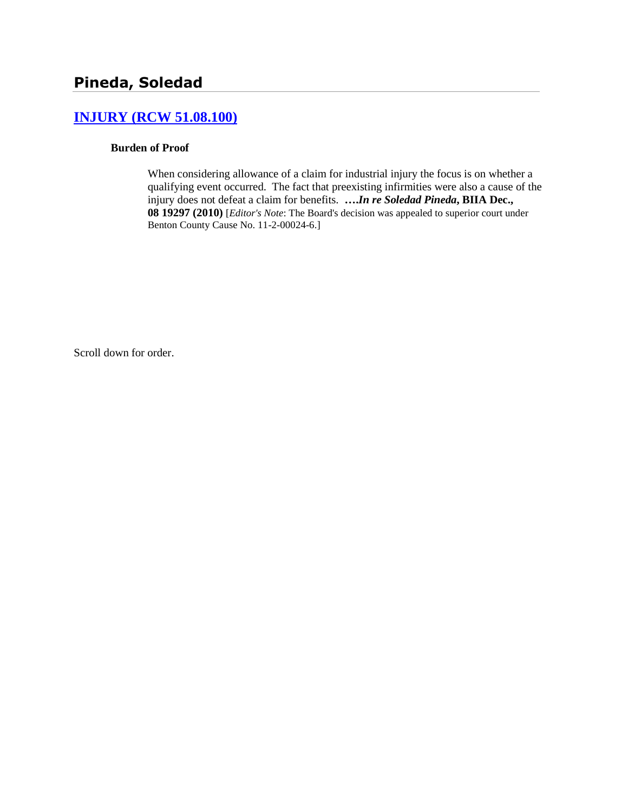# **[INJURY \(RCW 51.08.100\)](http://www.biia.wa.gov/SDSubjectIndex.html#INJURY)**

#### **Burden of Proof**

When considering allowance of a claim for industrial injury the focus is on whether a qualifying event occurred. The fact that preexisting infirmities were also a cause of the injury does not defeat a claim for benefits. **….***In re Soledad Pineda***, BIIA Dec., 08 19297 (2010)** [*Editor's Note*: The Board's decision was appealed to superior court under Benton County Cause No. 11-2-00024-6.]

Scroll down for order.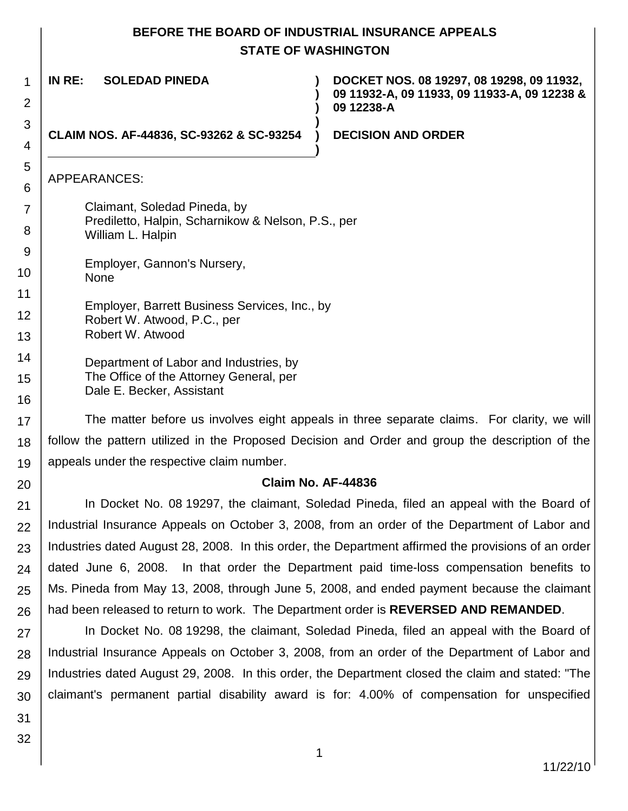# **BEFORE THE BOARD OF INDUSTRIAL INSURANCE APPEALS STATE OF WASHINGTON**

**) )**

**)**

**)**

**IN RE: SOLEDAD PINEDA )**

**CLAIM NOS. AF-44836, SC-93262 & SC-93254 )**

**DOCKET NOS. 08 19297, 08 19298, 09 11932, 09 11932-A, 09 11933, 09 11933-A, 09 12238 & 09 12238-A**

#### **DECISION AND ORDER**

# APPEARANCES:

1

2

3 4

5 6

7

8 9

10

20

- Claimant, Soledad Pineda, by Prediletto, Halpin, Scharnikow & Nelson, P.S., per William L. Halpin
- Employer, Gannon's Nursery, None
- 11 12 Employer, Barrett Business Services, Inc., by Robert W. Atwood, P.C., per
- 13 Robert W. Atwood
- 14 15 16 Department of Labor and Industries, by The Office of the Attorney General, per Dale E. Becker, Assistant

17 18 19 The matter before us involves eight appeals in three separate claims. For clarity, we will follow the pattern utilized in the Proposed Decision and Order and group the description of the appeals under the respective claim number.

# **Claim No. AF-44836**

21 22 23 24 25 26 In Docket No. 08 19297, the claimant, Soledad Pineda, filed an appeal with the Board of Industrial Insurance Appeals on October 3, 2008, from an order of the Department of Labor and Industries dated August 28, 2008. In this order, the Department affirmed the provisions of an order dated June 6, 2008. In that order the Department paid time-loss compensation benefits to Ms. Pineda from May 13, 2008, through June 5, 2008, and ended payment because the claimant had been released to return to work. The Department order is **REVERSED AND REMANDED**.

27 28 29 30 In Docket No. 08 19298, the claimant, Soledad Pineda, filed an appeal with the Board of Industrial Insurance Appeals on October 3, 2008, from an order of the Department of Labor and Industries dated August 29, 2008. In this order, the Department closed the claim and stated: "The claimant's permanent partial disability award is for: 4.00% of compensation for unspecified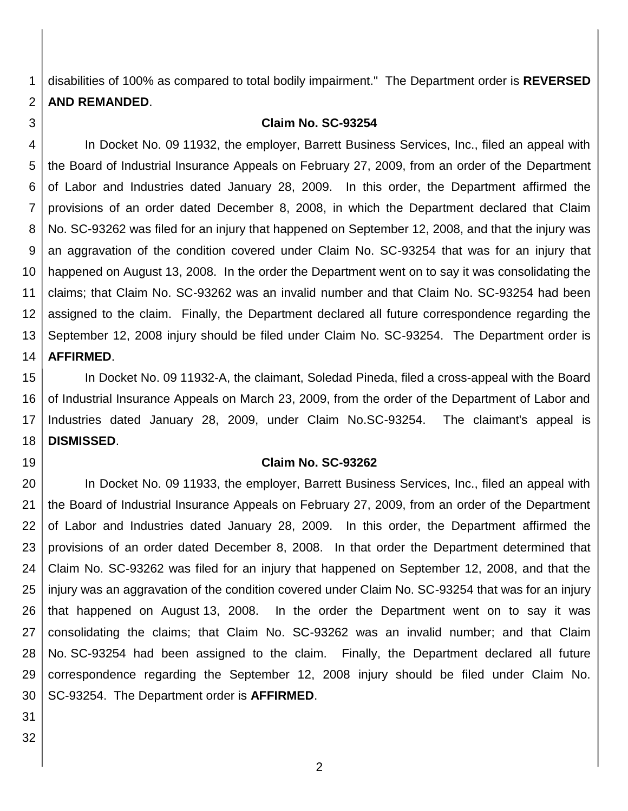1 2 disabilities of 100% as compared to total bodily impairment." The Department order is **REVERSED AND REMANDED**.

#### **Claim No. SC-93254**

4 5 6 7 8 9 10 11 12 13 14 In Docket No. 09 11932, the employer, Barrett Business Services, Inc., filed an appeal with the Board of Industrial Insurance Appeals on February 27, 2009, from an order of the Department of Labor and Industries dated January 28, 2009. In this order, the Department affirmed the provisions of an order dated December 8, 2008, in which the Department declared that Claim No. SC-93262 was filed for an injury that happened on September 12, 2008, and that the injury was an aggravation of the condition covered under Claim No. SC-93254 that was for an injury that happened on August 13, 2008. In the order the Department went on to say it was consolidating the claims; that Claim No. SC-93262 was an invalid number and that Claim No. SC-93254 had been assigned to the claim. Finally, the Department declared all future correspondence regarding the September 12, 2008 injury should be filed under Claim No. SC-93254. The Department order is **AFFIRMED**.

15 16 17 18 In Docket No. 09 11932-A, the claimant, Soledad Pineda, filed a cross-appeal with the Board of Industrial Insurance Appeals on March 23, 2009, from the order of the Department of Labor and Industries dated January 28, 2009, under Claim No.SC-93254. The claimant's appeal is **DISMISSED**.

19

3

#### **Claim No. SC-93262**

20 21 22 23 24 25 26 27 28 29 30 In Docket No. 09 11933, the employer, Barrett Business Services, Inc., filed an appeal with the Board of Industrial Insurance Appeals on February 27, 2009, from an order of the Department of Labor and Industries dated January 28, 2009. In this order, the Department affirmed the provisions of an order dated December 8, 2008. In that order the Department determined that Claim No. SC-93262 was filed for an injury that happened on September 12, 2008, and that the injury was an aggravation of the condition covered under Claim No. SC-93254 that was for an injury that happened on August 13, 2008. In the order the Department went on to say it was consolidating the claims; that Claim No. SC-93262 was an invalid number; and that Claim No. SC-93254 had been assigned to the claim. Finally, the Department declared all future correspondence regarding the September 12, 2008 injury should be filed under Claim No. SC-93254. The Department order is **AFFIRMED**.

31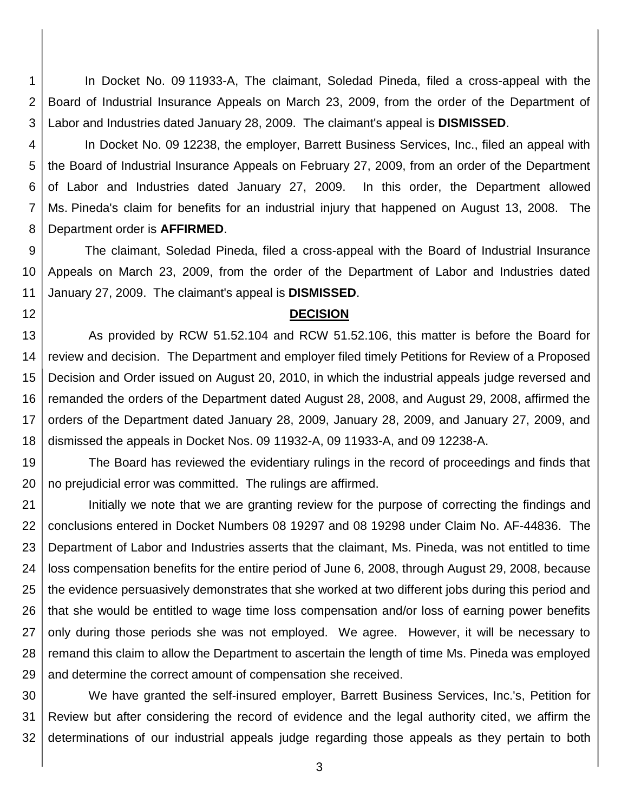1 2 3 In Docket No. 09 11933-A, The claimant, Soledad Pineda, filed a cross-appeal with the Board of Industrial Insurance Appeals on March 23, 2009, from the order of the Department of Labor and Industries dated January 28, 2009. The claimant's appeal is **DISMISSED**.

4 5 6 7 8 In Docket No. 09 12238, the employer, Barrett Business Services, Inc., filed an appeal with the Board of Industrial Insurance Appeals on February 27, 2009, from an order of the Department of Labor and Industries dated January 27, 2009. In this order, the Department allowed Ms. Pineda's claim for benefits for an industrial injury that happened on August 13, 2008. The Department order is **AFFIRMED**.

9 10 11 The claimant, Soledad Pineda, filed a cross-appeal with the Board of Industrial Insurance Appeals on March 23, 2009, from the order of the Department of Labor and Industries dated January 27, 2009. The claimant's appeal is **DISMISSED**.

12

#### **DECISION**

13 14 15 16 17 18 As provided by RCW 51.52.104 and RCW 51.52.106, this matter is before the Board for review and decision. The Department and employer filed timely Petitions for Review of a Proposed Decision and Order issued on August 20, 2010, in which the industrial appeals judge reversed and remanded the orders of the Department dated August 28, 2008, and August 29, 2008, affirmed the orders of the Department dated January 28, 2009, January 28, 2009, and January 27, 2009, and dismissed the appeals in Docket Nos. 09 11932-A, 09 11933-A, and 09 12238-A.

19 20 The Board has reviewed the evidentiary rulings in the record of proceedings and finds that no prejudicial error was committed. The rulings are affirmed.

21 22 23 24 25 26 27 28 29 Initially we note that we are granting review for the purpose of correcting the findings and conclusions entered in Docket Numbers 08 19297 and 08 19298 under Claim No. AF-44836. The Department of Labor and Industries asserts that the claimant, Ms. Pineda, was not entitled to time loss compensation benefits for the entire period of June 6, 2008, through August 29, 2008, because the evidence persuasively demonstrates that she worked at two different jobs during this period and that she would be entitled to wage time loss compensation and/or loss of earning power benefits only during those periods she was not employed. We agree. However, it will be necessary to remand this claim to allow the Department to ascertain the length of time Ms. Pineda was employed and determine the correct amount of compensation she received.

30 31 32 We have granted the self-insured employer, Barrett Business Services, Inc.'s, Petition for Review but after considering the record of evidence and the legal authority cited, we affirm the determinations of our industrial appeals judge regarding those appeals as they pertain to both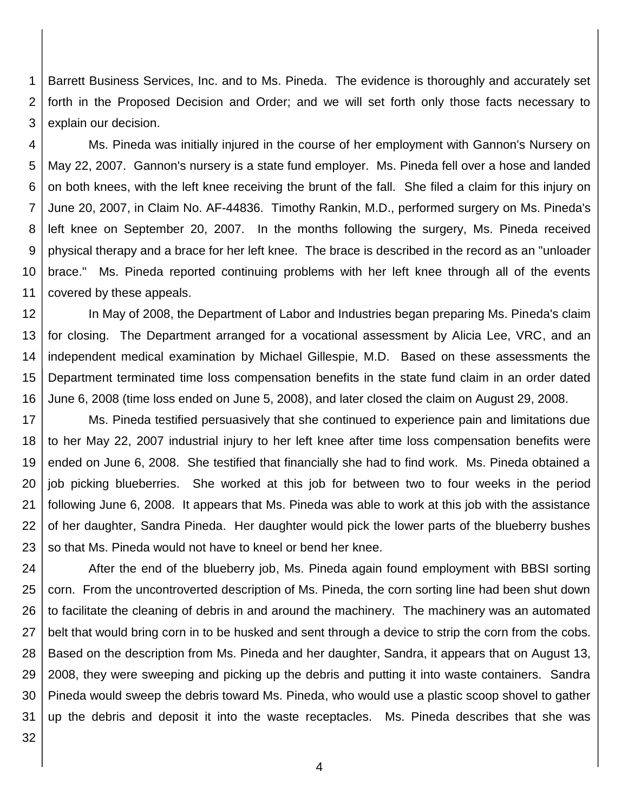1 2 3 Barrett Business Services, Inc. and to Ms. Pineda. The evidence is thoroughly and accurately set forth in the Proposed Decision and Order; and we will set forth only those facts necessary to explain our decision.

4 5 6 7 8 9 10 11 Ms. Pineda was initially injured in the course of her employment with Gannon's Nursery on May 22, 2007. Gannon's nursery is a state fund employer. Ms. Pineda fell over a hose and landed on both knees, with the left knee receiving the brunt of the fall. She filed a claim for this injury on June 20, 2007, in Claim No. AF-44836. Timothy Rankin, M.D., performed surgery on Ms. Pineda's left knee on September 20, 2007. In the months following the surgery, Ms. Pineda received physical therapy and a brace for her left knee. The brace is described in the record as an "unloader brace." Ms. Pineda reported continuing problems with her left knee through all of the events covered by these appeals.

12 13 14 15 16 In May of 2008, the Department of Labor and Industries began preparing Ms. Pineda's claim for closing. The Department arranged for a vocational assessment by Alicia Lee, VRC, and an independent medical examination by Michael Gillespie, M.D. Based on these assessments the Department terminated time loss compensation benefits in the state fund claim in an order dated June 6, 2008 (time loss ended on June 5, 2008), and later closed the claim on August 29, 2008.

17 18 19 20 21 22 23 Ms. Pineda testified persuasively that she continued to experience pain and limitations due to her May 22, 2007 industrial injury to her left knee after time loss compensation benefits were ended on June 6, 2008. She testified that financially she had to find work. Ms. Pineda obtained a job picking blueberries. She worked at this job for between two to four weeks in the period following June 6, 2008. It appears that Ms. Pineda was able to work at this job with the assistance of her daughter, Sandra Pineda. Her daughter would pick the lower parts of the blueberry bushes so that Ms. Pineda would not have to kneel or bend her knee.

24 25 26 27 28 29 30 31 After the end of the blueberry job, Ms. Pineda again found employment with BBSI sorting corn. From the uncontroverted description of Ms. Pineda, the corn sorting line had been shut down to facilitate the cleaning of debris in and around the machinery. The machinery was an automated belt that would bring corn in to be husked and sent through a device to strip the corn from the cobs. Based on the description from Ms. Pineda and her daughter, Sandra, it appears that on August 13, 2008, they were sweeping and picking up the debris and putting it into waste containers. Sandra Pineda would sweep the debris toward Ms. Pineda, who would use a plastic scoop shovel to gather up the debris and deposit it into the waste receptacles. Ms. Pineda describes that she was

32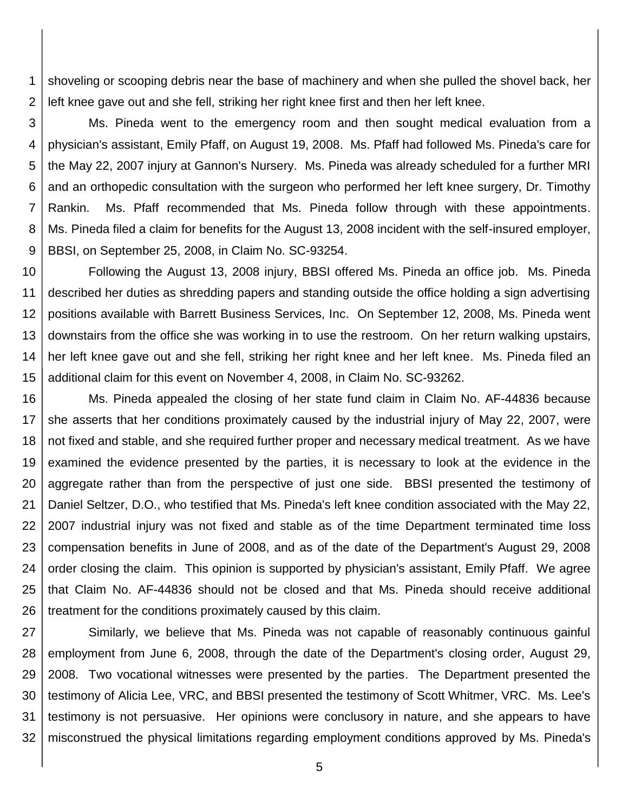1 2 shoveling or scooping debris near the base of machinery and when she pulled the shovel back, her left knee gave out and she fell, striking her right knee first and then her left knee.

3 4 5 6 7 8 9 Ms. Pineda went to the emergency room and then sought medical evaluation from a physician's assistant, Emily Pfaff, on August 19, 2008. Ms. Pfaff had followed Ms. Pineda's care for the May 22, 2007 injury at Gannon's Nursery. Ms. Pineda was already scheduled for a further MRI and an orthopedic consultation with the surgeon who performed her left knee surgery, Dr. Timothy Rankin. Ms. Pfaff recommended that Ms. Pineda follow through with these appointments. Ms. Pineda filed a claim for benefits for the August 13, 2008 incident with the self-insured employer, BBSI, on September 25, 2008, in Claim No. SC-93254.

10 11 12 13 14 15 Following the August 13, 2008 injury, BBSI offered Ms. Pineda an office job. Ms. Pineda described her duties as shredding papers and standing outside the office holding a sign advertising positions available with Barrett Business Services, Inc. On September 12, 2008, Ms. Pineda went downstairs from the office she was working in to use the restroom. On her return walking upstairs, her left knee gave out and she fell, striking her right knee and her left knee. Ms. Pineda filed an additional claim for this event on November 4, 2008, in Claim No. SC-93262.

16 17 18 19 20 21 22 23 24 25 26 Ms. Pineda appealed the closing of her state fund claim in Claim No. AF-44836 because she asserts that her conditions proximately caused by the industrial injury of May 22, 2007, were not fixed and stable, and she required further proper and necessary medical treatment. As we have examined the evidence presented by the parties, it is necessary to look at the evidence in the aggregate rather than from the perspective of just one side. BBSI presented the testimony of Daniel Seltzer, D.O., who testified that Ms. Pineda's left knee condition associated with the May 22, 2007 industrial injury was not fixed and stable as of the time Department terminated time loss compensation benefits in June of 2008, and as of the date of the Department's August 29, 2008 order closing the claim. This opinion is supported by physician's assistant, Emily Pfaff. We agree that Claim No. AF-44836 should not be closed and that Ms. Pineda should receive additional treatment for the conditions proximately caused by this claim.

27 28 29 30 31 32 Similarly, we believe that Ms. Pineda was not capable of reasonably continuous gainful employment from June 6, 2008, through the date of the Department's closing order, August 29, 2008. Two vocational witnesses were presented by the parties. The Department presented the testimony of Alicia Lee, VRC, and BBSI presented the testimony of Scott Whitmer, VRC. Ms. Lee's testimony is not persuasive. Her opinions were conclusory in nature, and she appears to have misconstrued the physical limitations regarding employment conditions approved by Ms. Pineda's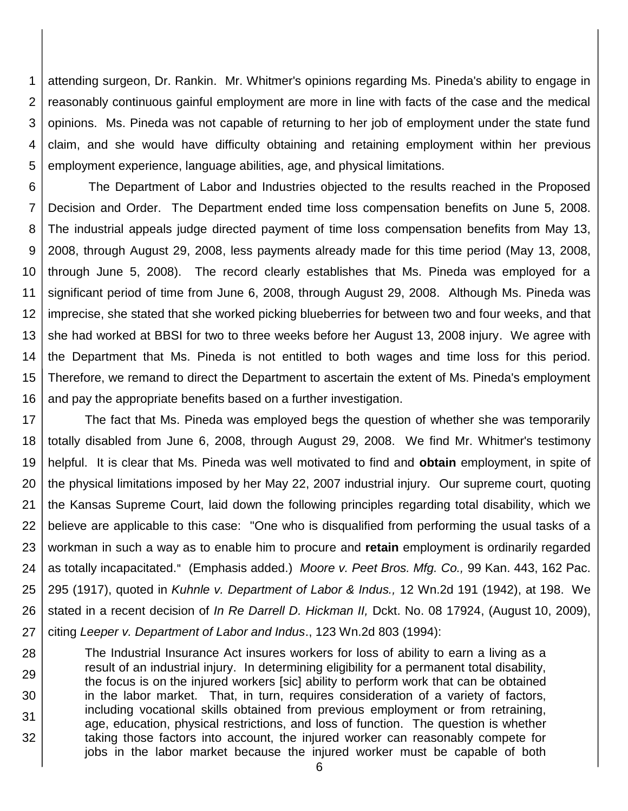1 2 3 4 5 attending surgeon, Dr. Rankin. Mr. Whitmer's opinions regarding Ms. Pineda's ability to engage in reasonably continuous gainful employment are more in line with facts of the case and the medical opinions. Ms. Pineda was not capable of returning to her job of employment under the state fund claim, and she would have difficulty obtaining and retaining employment within her previous employment experience, language abilities, age, and physical limitations.

6 7 8 9 10 11 12 13 14 15 16 The Department of Labor and Industries objected to the results reached in the Proposed Decision and Order. The Department ended time loss compensation benefits on June 5, 2008. The industrial appeals judge directed payment of time loss compensation benefits from May 13, 2008, through August 29, 2008, less payments already made for this time period (May 13, 2008, through June 5, 2008). The record clearly establishes that Ms. Pineda was employed for a significant period of time from June 6, 2008, through August 29, 2008. Although Ms. Pineda was imprecise, she stated that she worked picking blueberries for between two and four weeks, and that she had worked at BBSI for two to three weeks before her August 13, 2008 injury. We agree with the Department that Ms. Pineda is not entitled to both wages and time loss for this period. Therefore, we remand to direct the Department to ascertain the extent of Ms. Pineda's employment and pay the appropriate benefits based on a further investigation.

17 18 19 20 21 22 23 24 25 26 27 The fact that Ms. Pineda was employed begs the question of whether she was temporarily totally disabled from June 6, 2008, through August 29, 2008. We find Mr. Whitmer's testimony helpful. It is clear that Ms. Pineda was well motivated to find and **obtain** employment, in spite of the physical limitations imposed by her May 22, 2007 industrial injury. Our supreme court, quoting the Kansas Supreme Court, laid down the following principles regarding total disability, which we believe are applicable to this case: "One who is disqualified from performing the usual tasks of a workman in such a way as to enable him to procure and **retain** employment is ordinarily regarded as totally incapacitated." (Emphasis added.) *[Moore v. Peet Bros. Mfg. Co.,](https://www.lexis.com/research/buttonTFLink?_m=e0b4343ccb3c963ed59c9bac0a59ba05&_xfercite=%3ccite%20cc%3d%22USA%22%3e%3c%21%5bCDATA%5b2004%20WA%20Wrk.%20Comp.%20LEXIS%20141%5d%5d%3e%3c%2fcite%3e&_butType=3&_butStat=2&_butNum=13&_butInline=1&_butinfo=%3ccite%20cc%3d%22USA%22%3e%3c%21%5bCDATA%5b99%20Kan.%20443%5d%5d%3e%3c%2fcite%3e&_fmtstr=FULL&docnum=1&_startdoc=1&wchp=dGLbVzb-zSkAz&_md5=c7af5d447f4c58e4e7eac2a50c94b3f7)* 99 Kan. 443, 162 Pac. [295 \(1917\),](https://www.lexis.com/research/buttonTFLink?_m=e0b4343ccb3c963ed59c9bac0a59ba05&_xfercite=%3ccite%20cc%3d%22USA%22%3e%3c%21%5bCDATA%5b2004%20WA%20Wrk.%20Comp.%20LEXIS%20141%5d%5d%3e%3c%2fcite%3e&_butType=3&_butStat=2&_butNum=13&_butInline=1&_butinfo=%3ccite%20cc%3d%22USA%22%3e%3c%21%5bCDATA%5b99%20Kan.%20443%5d%5d%3e%3c%2fcite%3e&_fmtstr=FULL&docnum=1&_startdoc=1&wchp=dGLbVzb-zSkAz&_md5=c7af5d447f4c58e4e7eac2a50c94b3f7) quoted in *[Kuhnle v. Department of Labor & Indus.,](https://www.lexis.com/research/buttonTFLink?_m=e0b4343ccb3c963ed59c9bac0a59ba05&_xfercite=%3ccite%20cc%3d%22USA%22%3e%3c%21%5bCDATA%5b2004%20WA%20Wrk.%20Comp.%20LEXIS%20141%5d%5d%3e%3c%2fcite%3e&_butType=3&_butStat=2&_butNum=14&_butInline=1&_butinfo=%3ccite%20cc%3d%22USA%22%3e%3c%21%5bCDATA%5b12%20Wn.2d%20191%5d%5d%3e%3c%2fcite%3e&_fmtstr=FULL&docnum=1&_startdoc=1&wchp=dGLbVzb-zSkAz&_md5=42fa9e1c902472eb8854a0dad2cb1d1a)* 12 Wn.2d 191 (1942), at 198. We stated in a recent decision of *In Re Darrell D. Hickman II,* Dckt. No. 08 17924, (August 10, 2009), citing *Leeper v. Department of Labor and Indus*., 123 Wn.2d 803 (1994):

28 29 30 31 32 The Industrial Insurance Act insures workers for loss of ability to earn a living as a result of an industrial injury. In determining eligibility for a permanent total disability, the focus is on the injured workers [sic] ability to perform work that can be obtained in the labor market. That, in turn, requires consideration of a variety of factors, including vocational skills obtained from previous employment or from retraining, age, education, physical restrictions, and loss of function. The question is whether taking those factors into account, the injured worker can reasonably compete for jobs in the labor market because the injured worker must be capable of both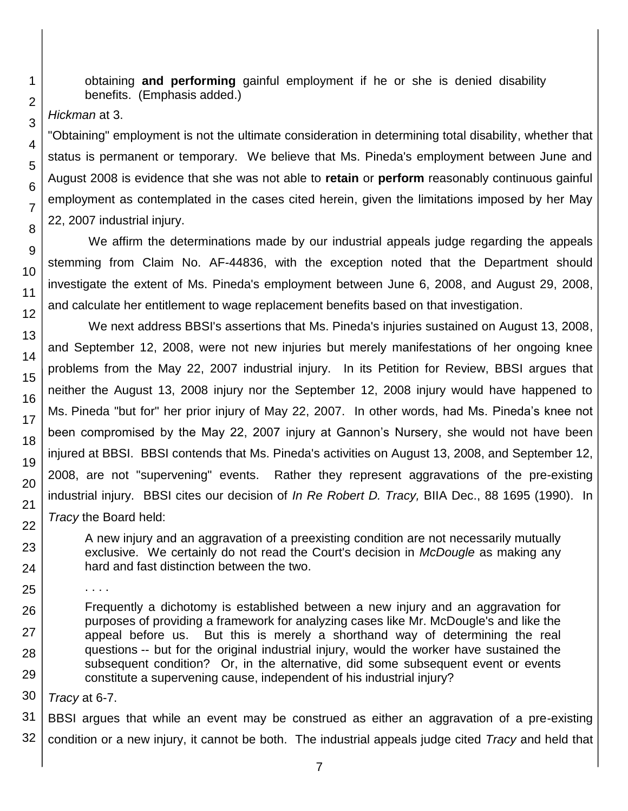obtaining **and performing** gainful employment if he or she is denied disability benefits. (Emphasis added.)

*Hickman* at 3.

"Obtaining" employment is not the ultimate consideration in determining total disability, whether that status is permanent or temporary. We believe that Ms. Pineda's employment between June and August 2008 is evidence that she was not able to **retain** or **perform** reasonably continuous gainful employment as contemplated in the cases cited herein, given the limitations imposed by her May 22, 2007 industrial injury.

We affirm the determinations made by our industrial appeals judge regarding the appeals stemming from Claim No. AF-44836, with the exception noted that the Department should investigate the extent of Ms. Pineda's employment between June 6, 2008, and August 29, 2008, and calculate her entitlement to wage replacement benefits based on that investigation.

We next address BBSI's assertions that Ms. Pineda's injuries sustained on August 13, 2008, and September 12, 2008, were not new injuries but merely manifestations of her ongoing knee problems from the May 22, 2007 industrial injury. In its Petition for Review, BBSI argues that neither the August 13, 2008 injury nor the September 12, 2008 injury would have happened to Ms. Pineda "but for" her prior injury of May 22, 2007. In other words, had Ms. Pineda's knee not been compromised by the May 22, 2007 injury at Gannon's Nursery, she would not have been injured at BBSI. BBSI contends that Ms. Pineda's activities on August 13, 2008, and September 12, 2008, are not "supervening" events. Rather they represent aggravations of the pre-existing industrial injury. BBSI cites our decision of *In Re Robert D. Tracy,* BIIA Dec., 88 1695 (1990). In *Tracy* the Board held:

A new injury and an aggravation of a preexisting condition are not necessarily mutually exclusive. We certainly do not read the Court's decision in *McDougle* as making any hard and fast distinction between the two.

Frequently a dichotomy is established between a new injury and an aggravation for purposes of providing a framework for analyzing cases like Mr. McDougle's and like the appeal before us. But this is merely a shorthand way of determining the real questions -- but for the original industrial injury, would the worker have sustained the subsequent condition? Or, in the alternative, did some subsequent event or events constitute a supervening cause, independent of his industrial injury?

*Tracy* at 6-7.

. . . .

31 32 BBSI argues that while an event may be construed as either an aggravation of a pre-existing condition or a new injury, it cannot be both. The industrial appeals judge cited *Tracy* and held that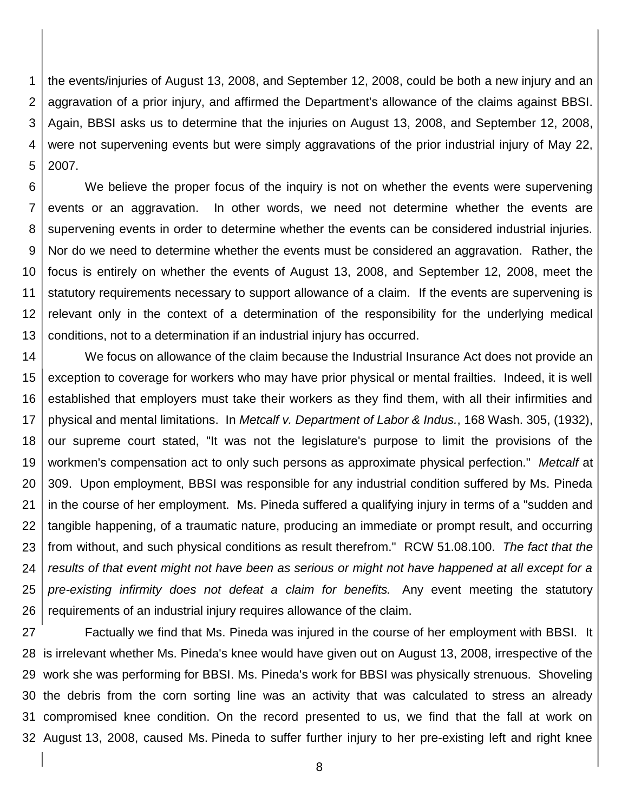1 2 3 4 5 the events/injuries of August 13, 2008, and September 12, 2008, could be both a new injury and an aggravation of a prior injury, and affirmed the Department's allowance of the claims against BBSI. Again, BBSI asks us to determine that the injuries on August 13, 2008, and September 12, 2008, were not supervening events but were simply aggravations of the prior industrial injury of May 22, 2007.

6 7 8 9 10 11 12 13 We believe the proper focus of the inquiry is not on whether the events were supervening events or an aggravation. In other words, we need not determine whether the events are supervening events in order to determine whether the events can be considered industrial injuries. Nor do we need to determine whether the events must be considered an aggravation. Rather, the focus is entirely on whether the events of August 13, 2008, and September 12, 2008, meet the statutory requirements necessary to support allowance of a claim. If the events are supervening is relevant only in the context of a determination of the responsibility for the underlying medical conditions, not to a determination if an industrial injury has occurred.

14 15 16 17 18 19 20 21 22 23 24 25 26 We focus on allowance of the claim because the Industrial Insurance Act does not provide an exception to coverage for workers who may have prior physical or mental frailties. Indeed, it is well established that employers must take their workers as they find them, with all their infirmities and physical and mental limitations. In *Metcalf v. Department of Labor & Indus.*, 168 Wash. 305, (1932), our supreme court stated, "It was not the legislature's purpose to limit the provisions of the workmen's compensation act to only such persons as approximate physical perfection." *Metcalf* at 309. Upon employment, BBSI was responsible for any industrial condition suffered by Ms. Pineda in the course of her employment. Ms. Pineda suffered a qualifying injury in terms of a "sudden and tangible happening, of a traumatic nature, producing an immediate or prompt result, and occurring from without, and such physical conditions as result therefrom." RCW 51.08.100. *The fact that the results of that event might not have been as serious or might not have happened at all except for a pre-existing infirmity does not defeat a claim for benefits.* Any event meeting the statutory requirements of an industrial injury requires allowance of the claim.

27 is irrelevant whether Ms. Pineda's knee would have given out on August 13, 2008, irrespective of the work she was performing for BBSI. Ms. Pineda's work for BBSI was physically strenuous. Shoveling the debris from the corn sorting line was an activity that was calculated to stress an already compromised knee condition. On the record presented to us, we find that the fall at work on August 13, 2008, caused Ms. Pineda to suffer further injury to her pre-existing left and right knee Factually we find that Ms. Pineda was injured in the course of her employment with BBSI. It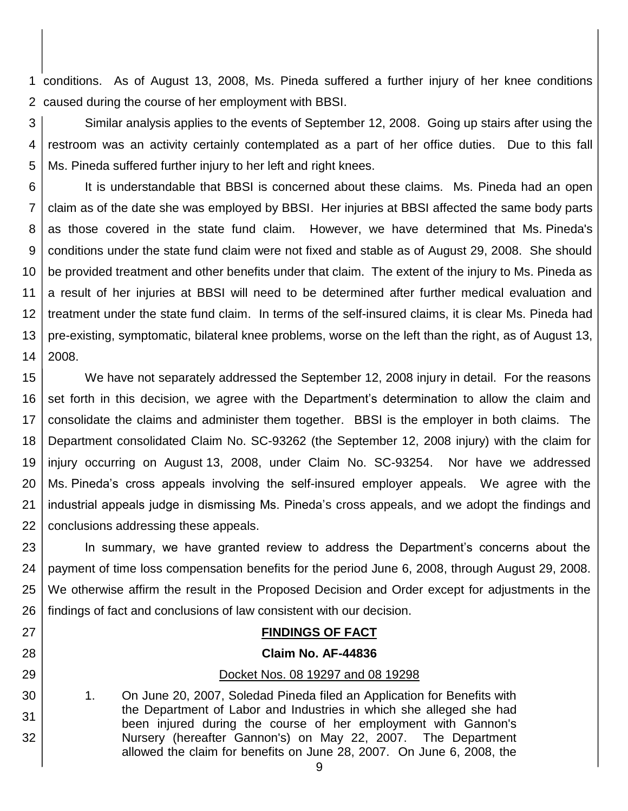1 conditions. As of August 13, 2008, Ms. Pineda suffered a further injury of her knee conditions 2 caused during the course of her employment with BBSI.

3 4 5 Similar analysis applies to the events of September 12, 2008. Going up stairs after using the restroom was an activity certainly contemplated as a part of her office duties. Due to this fall Ms. Pineda suffered further injury to her left and right knees.

6 7 8 9 10 11 12 13 14 It is understandable that BBSI is concerned about these claims. Ms. Pineda had an open claim as of the date she was employed by BBSI. Her injuries at BBSI affected the same body parts as those covered in the state fund claim. However, we have determined that Ms. Pineda's conditions under the state fund claim were not fixed and stable as of August 29, 2008. She should be provided treatment and other benefits under that claim. The extent of the injury to Ms. Pineda as a result of her injuries at BBSI will need to be determined after further medical evaluation and treatment under the state fund claim. In terms of the self-insured claims, it is clear Ms. Pineda had pre-existing, symptomatic, bilateral knee problems, worse on the left than the right, as of August 13, 2008.

15 16 17 18 19 20 21 22 We have not separately addressed the September 12, 2008 injury in detail. For the reasons set forth in this decision, we agree with the Department's determination to allow the claim and consolidate the claims and administer them together. BBSI is the employer in both claims. The Department consolidated Claim No. SC-93262 (the September 12, 2008 injury) with the claim for injury occurring on August 13, 2008, under Claim No. SC-93254. Nor have we addressed Ms. Pineda's cross appeals involving the self-insured employer appeals. We agree with the industrial appeals judge in dismissing Ms. Pineda's cross appeals, and we adopt the findings and conclusions addressing these appeals.

23 24 25 26 In summary, we have granted review to address the Department's concerns about the payment of time loss compensation benefits for the period June 6, 2008, through August 29, 2008. We otherwise affirm the result in the Proposed Decision and Order except for adjustments in the findings of fact and conclusions of law consistent with our decision.

# **FINDINGS OF FACT**

#### **Claim No. AF-44836**

#### Docket Nos. 08 19297 and 08 19298

1. On June 20, 2007, Soledad Pineda filed an Application for Benefits with the Department of Labor and Industries in which she alleged she had been injured during the course of her employment with Gannon's Nursery (hereafter Gannon's) on May 22, 2007. The Department allowed the claim for benefits on June 28, 2007. On June 6, 2008, the

27

28

29

30

31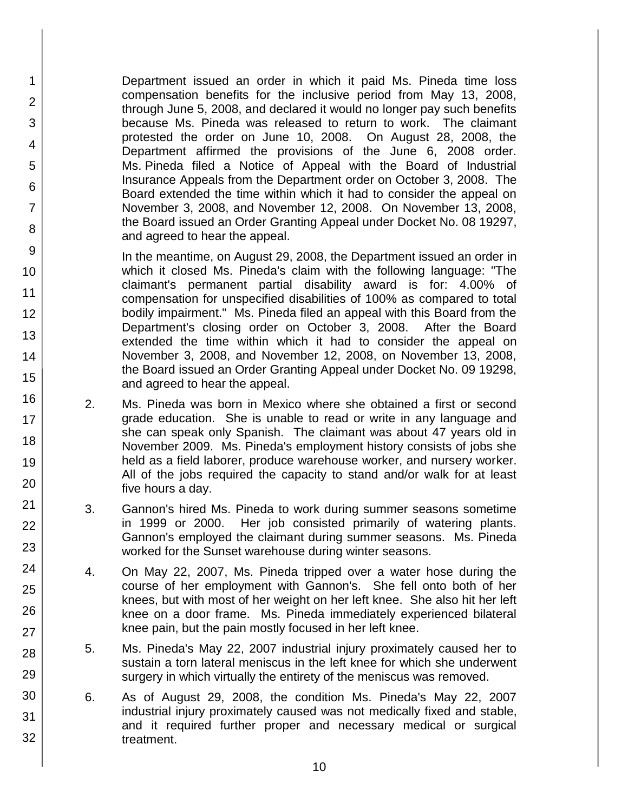Department issued an order in which it paid Ms. Pineda time loss compensation benefits for the inclusive period from May 13, 2008, through June 5, 2008, and declared it would no longer pay such benefits because Ms. Pineda was released to return to work. The claimant protested the order on June 10, 2008. On August 28, 2008, the Department affirmed the provisions of the June 6, 2008 order. Ms. Pineda filed a Notice of Appeal with the Board of Industrial Insurance Appeals from the Department order on October 3, 2008. The Board extended the time within which it had to consider the appeal on November 3, 2008, and November 12, 2008. On November 13, 2008, the Board issued an Order Granting Appeal under Docket No. 08 19297, and agreed to hear the appeal.

1

2

3

4

5

6

7

8

9

10

11

12

13

14

15

16

17 18

19

20

21 22

23

24

25

26

27

28

29

30

31

32

In the meantime, on August 29, 2008, the Department issued an order in which it closed Ms. Pineda's claim with the following language: "The claimant's permanent partial disability award is for: 4.00% of compensation for unspecified disabilities of 100% as compared to total bodily impairment." Ms. Pineda filed an appeal with this Board from the Department's closing order on October 3, 2008. After the Board extended the time within which it had to consider the appeal on November 3, 2008, and November 12, 2008, on November 13, 2008, the Board issued an Order Granting Appeal under Docket No. 09 19298, and agreed to hear the appeal.

- 2. Ms. Pineda was born in Mexico where she obtained a first or second grade education. She is unable to read or write in any language and she can speak only Spanish. The claimant was about 47 years old in November 2009. Ms. Pineda's employment history consists of jobs she held as a field laborer, produce warehouse worker, and nursery worker. All of the jobs required the capacity to stand and/or walk for at least five hours a day.
- 3. Gannon's hired Ms. Pineda to work during summer seasons sometime in 1999 or 2000. Her job consisted primarily of watering plants. Gannon's employed the claimant during summer seasons. Ms. Pineda worked for the Sunset warehouse during winter seasons.
- 4. On May 22, 2007, Ms. Pineda tripped over a water hose during the course of her employment with Gannon's. She fell onto both of her knees, but with most of her weight on her left knee. She also hit her left knee on a door frame. Ms. Pineda immediately experienced bilateral knee pain, but the pain mostly focused in her left knee.
- 5. Ms. Pineda's May 22, 2007 industrial injury proximately caused her to sustain a torn lateral meniscus in the left knee for which she underwent surgery in which virtually the entirety of the meniscus was removed.
- 6. As of August 29, 2008, the condition Ms. Pineda's May 22, 2007 industrial injury proximately caused was not medically fixed and stable, and it required further proper and necessary medical or surgical treatment.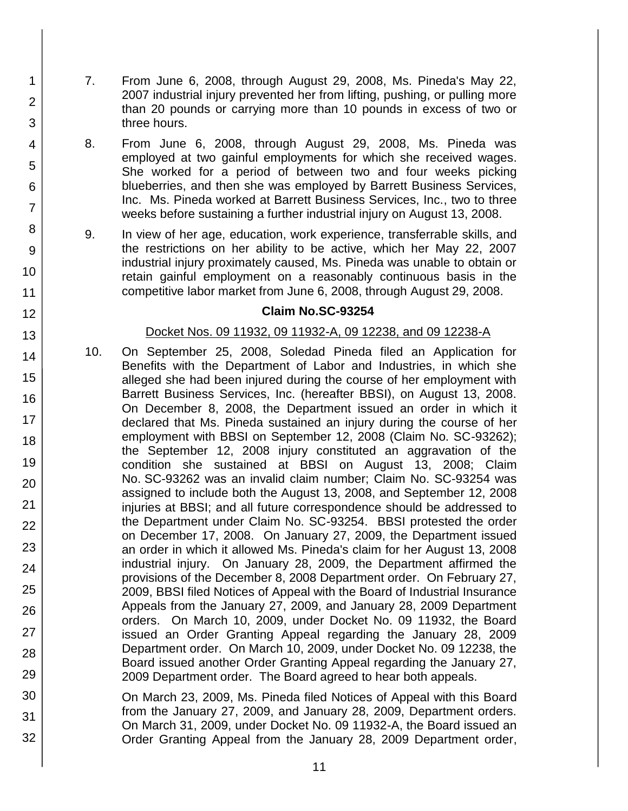7. From June 6, 2008, through August 29, 2008, Ms. Pineda's May 22, 2007 industrial injury prevented her from lifting, pushing, or pulling more than 20 pounds or carrying more than 10 pounds in excess of two or three hours.

1

2

3

4

5

6

7

8

9

10

11

12

13

14

15

16

17

18

19

20

21

22

23

24

25

26

27

28

29

30

31

32

- 8. From June 6, 2008, through August 29, 2008, Ms. Pineda was employed at two gainful employments for which she received wages. She worked for a period of between two and four weeks picking blueberries, and then she was employed by Barrett Business Services, Inc. Ms. Pineda worked at Barrett Business Services, Inc., two to three weeks before sustaining a further industrial injury on August 13, 2008.
- 9. In view of her age, education, work experience, transferrable skills, and the restrictions on her ability to be active, which her May 22, 2007 industrial injury proximately caused, Ms. Pineda was unable to obtain or retain gainful employment on a reasonably continuous basis in the competitive labor market from June 6, 2008, through August 29, 2008.

# **Claim No.SC-93254**

# Docket Nos. 09 11932, 09 11932-A, 09 12238, and 09 12238-A

- 10. On September 25, 2008, Soledad Pineda filed an Application for Benefits with the Department of Labor and Industries, in which she alleged she had been injured during the course of her employment with Barrett Business Services, Inc. (hereafter BBSI), on August 13, 2008. On December 8, 2008, the Department issued an order in which it declared that Ms. Pineda sustained an injury during the course of her employment with BBSI on September 12, 2008 (Claim No. SC-93262); the September 12, 2008 injury constituted an aggravation of the condition she sustained at BBSI on August 13, 2008; Claim No. SC-93262 was an invalid claim number; Claim No. SC-93254 was assigned to include both the August 13, 2008, and September 12, 2008 injuries at BBSI; and all future correspondence should be addressed to the Department under Claim No. SC-93254. BBSI protested the order on December 17, 2008. On January 27, 2009, the Department issued an order in which it allowed Ms. Pineda's claim for her August 13, 2008 industrial injury. On January 28, 2009, the Department affirmed the provisions of the December 8, 2008 Department order. On February 27, 2009, BBSI filed Notices of Appeal with the Board of Industrial Insurance Appeals from the January 27, 2009, and January 28, 2009 Department orders. On March 10, 2009, under Docket No. 09 11932, the Board issued an Order Granting Appeal regarding the January 28, 2009 Department order. On March 10, 2009, under Docket No. 09 12238, the Board issued another Order Granting Appeal regarding the January 27, 2009 Department order. The Board agreed to hear both appeals.
- On March 23, 2009, Ms. Pineda filed Notices of Appeal with this Board from the January 27, 2009, and January 28, 2009, Department orders. On March 31, 2009, under Docket No. 09 11932-A, the Board issued an Order Granting Appeal from the January 28, 2009 Department order,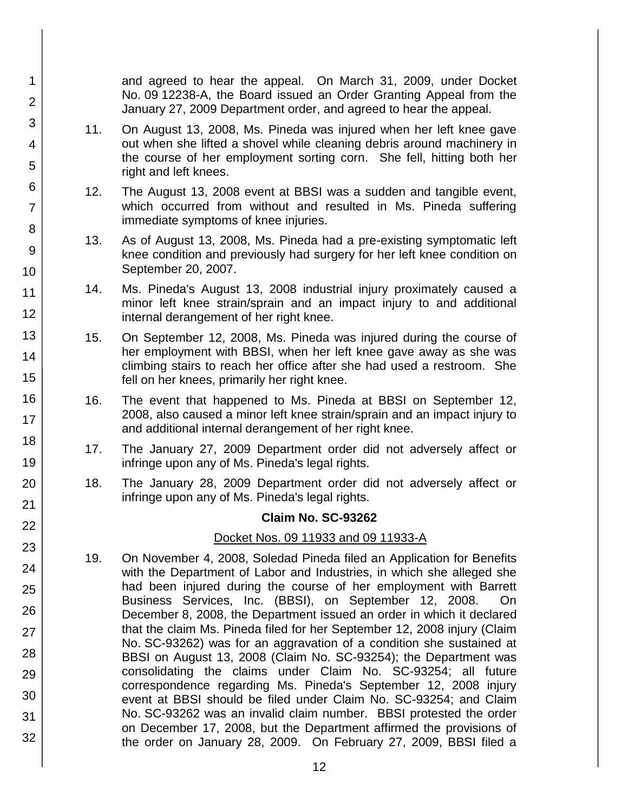and agreed to hear the appeal. On March 31, 2009, under Docket No. 09 12238-A, the Board issued an Order Granting Appeal from the January 27, 2009 Department order, and agreed to hear the appeal.

11. On August 13, 2008, Ms. Pineda was injured when her left knee gave out when she lifted a shovel while cleaning debris around machinery in the course of her employment sorting corn. She fell, hitting both her right and left knees.

1

2

3

4

5

6

7

8

9

10

11

12

13

14

15

16

17

18

19

20

21 22

23

24

25

26

27

28

29

30

31

32

- 12. The August 13, 2008 event at BBSI was a sudden and tangible event, which occurred from without and resulted in Ms. Pineda suffering immediate symptoms of knee injuries.
- 13. As of August 13, 2008, Ms. Pineda had a pre-existing symptomatic left knee condition and previously had surgery for her left knee condition on September 20, 2007.
- 14. Ms. Pineda's August 13, 2008 industrial injury proximately caused a minor left knee strain/sprain and an impact injury to and additional internal derangement of her right knee.
- 15. On September 12, 2008, Ms. Pineda was injured during the course of her employment with BBSI, when her left knee gave away as she was climbing stairs to reach her office after she had used a restroom. She fell on her knees, primarily her right knee.
- 16. The event that happened to Ms. Pineda at BBSI on September 12, 2008, also caused a minor left knee strain/sprain and an impact injury to and additional internal derangement of her right knee.
- 17. The January 27, 2009 Department order did not adversely affect or infringe upon any of Ms. Pineda's legal rights.
- 18. The January 28, 2009 Department order did not adversely affect or infringe upon any of Ms. Pineda's legal rights.

# **Claim No. SC-93262**

# Docket Nos. 09 11933 and 09 11933-A

19. On November 4, 2008, Soledad Pineda filed an Application for Benefits with the Department of Labor and Industries, in which she alleged she had been injured during the course of her employment with Barrett Business Services, Inc. (BBSI), on September 12, 2008. On December 8, 2008, the Department issued an order in which it declared that the claim Ms. Pineda filed for her September 12, 2008 injury (Claim No. SC-93262) was for an aggravation of a condition she sustained at BBSI on August 13, 2008 (Claim No. SC-93254); the Department was consolidating the claims under Claim No. SC-93254; all future correspondence regarding Ms. Pineda's September 12, 2008 injury event at BBSI should be filed under Claim No. SC-93254; and Claim No. SC-93262 was an invalid claim number. BBSI protested the order on December 17, 2008, but the Department affirmed the provisions of the order on January 28, 2009. On February 27, 2009, BBSI filed a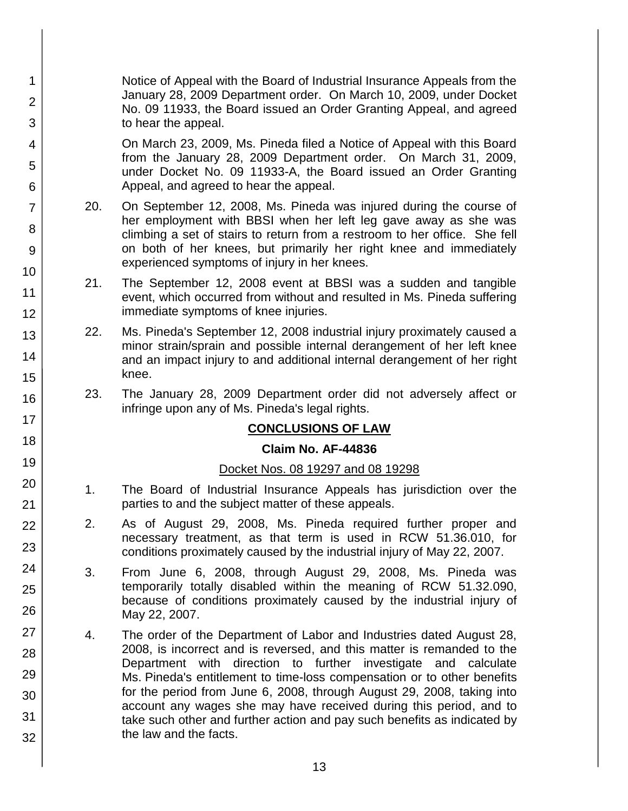Notice of Appeal with the Board of Industrial Insurance Appeals from the January 28, 2009 Department order. On March 10, 2009, under Docket No. 09 11933, the Board issued an Order Granting Appeal, and agreed to hear the appeal.

1

2

3

4

5

6

7

8

9

10

11

12

13

14

15

16

17

18

19

20

21 22

23

24

25

26

27

28

29

30

31

32

On March 23, 2009, Ms. Pineda filed a Notice of Appeal with this Board from the January 28, 2009 Department order. On March 31, 2009, under Docket No. 09 11933-A, the Board issued an Order Granting Appeal, and agreed to hear the appeal.

- 20. On September 12, 2008, Ms. Pineda was injured during the course of her employment with BBSI when her left leg gave away as she was climbing a set of stairs to return from a restroom to her office. She fell on both of her knees, but primarily her right knee and immediately experienced symptoms of injury in her knees.
- 21. The September 12, 2008 event at BBSI was a sudden and tangible event, which occurred from without and resulted in Ms. Pineda suffering immediate symptoms of knee injuries.
- 22. Ms. Pineda's September 12, 2008 industrial injury proximately caused a minor strain/sprain and possible internal derangement of her left knee and an impact injury to and additional internal derangement of her right knee.
- 23. The January 28, 2009 Department order did not adversely affect or infringe upon any of Ms. Pineda's legal rights.

# **CONCLUSIONS OF LAW**

# **Claim No. AF-44836**

# Docket Nos. 08 19297 and 08 19298

- 1. The Board of Industrial Insurance Appeals has jurisdiction over the parties to and the subject matter of these appeals.
- 2. As of August 29, 2008, Ms. Pineda required further proper and necessary treatment, as that term is used in RCW 51.36.010, for conditions proximately caused by the industrial injury of May 22, 2007.
- 3. From June 6, 2008, through August 29, 2008, Ms. Pineda was temporarily totally disabled within the meaning of RCW 51.32.090, because of conditions proximately caused by the industrial injury of May 22, 2007.
- 4. The order of the Department of Labor and Industries dated August 28, 2008, is incorrect and is reversed, and this matter is remanded to the Department with direction to further investigate and calculate Ms. Pineda's entitlement to time-loss compensation or to other benefits for the period from June 6, 2008, through August 29, 2008, taking into account any wages she may have received during this period, and to take such other and further action and pay such benefits as indicated by the law and the facts.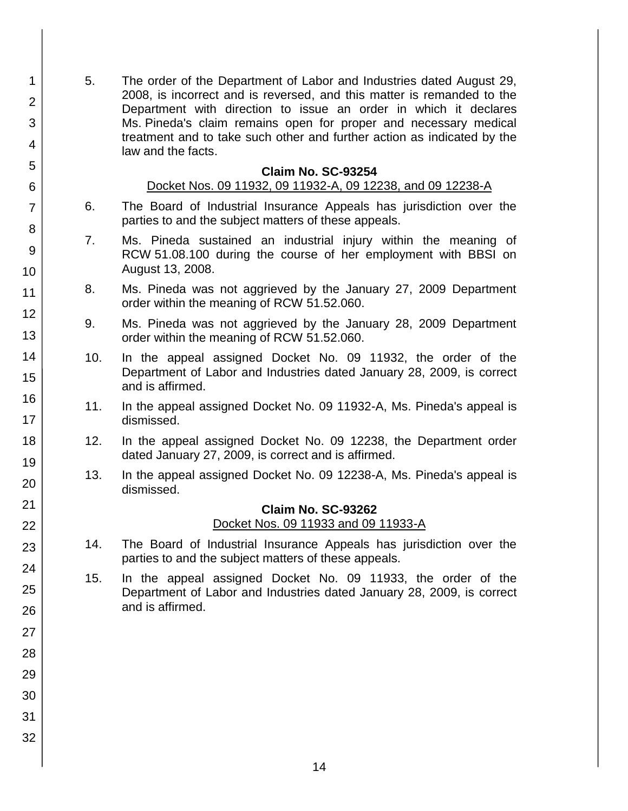5. The order of the Department of Labor and Industries dated August 29, 2008, is incorrect and is reversed, and this matter is remanded to the Department with direction to issue an order in which it declares Ms. Pineda's claim remains open for proper and necessary medical treatment and to take such other and further action as indicated by the law and the facts.

1

2

3

4

5

6

7

8

9

10

11

12

13

14

15

16

17 18

19

20

21 22

23

24

25

26

27

28

29

30

31

32

#### **Claim No. SC-93254**

#### Docket Nos. 09 11932, 09 11932-A, 09 12238, and 09 12238-A

- 6. The Board of Industrial Insurance Appeals has jurisdiction over the parties to and the subject matters of these appeals.
- 7. Ms. Pineda sustained an industrial injury within the meaning of RCW 51.08.100 during the course of her employment with BBSI on August 13, 2008.
- 8. Ms. Pineda was not aggrieved by the January 27, 2009 Department order within the meaning of RCW 51.52.060.
- 9. Ms. Pineda was not aggrieved by the January 28, 2009 Department order within the meaning of RCW 51.52.060.
- 10. In the appeal assigned Docket No. 09 11932, the order of the Department of Labor and Industries dated January 28, 2009, is correct and is affirmed.
- 11. In the appeal assigned Docket No. 09 11932-A, Ms. Pineda's appeal is dismissed.
- 12. In the appeal assigned Docket No. 09 12238, the Department order dated January 27, 2009, is correct and is affirmed.
- 13. In the appeal assigned Docket No. 09 12238-A, Ms. Pineda's appeal is dismissed.

#### **Claim No. SC-93262**

Docket Nos. 09 11933 and 09 11933-A

- 14. The Board of Industrial Insurance Appeals has jurisdiction over the parties to and the subject matters of these appeals.
- 15. In the appeal assigned Docket No. 09 11933, the order of the Department of Labor and Industries dated January 28, 2009, is correct and is affirmed.